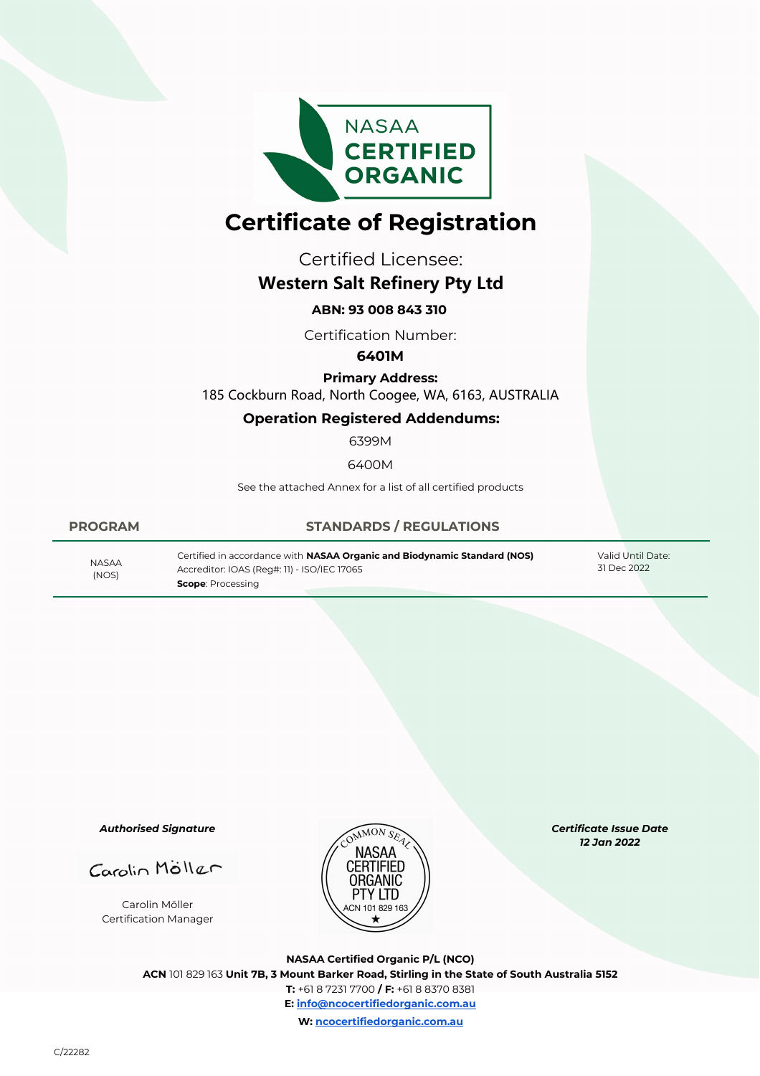

# **Certificate of Registration**

Certified Licensee:

## **Western Salt Refinery Pty Ltd**

### **ABN: 93 008 843 310**

Certification Number:

#### **6401M**

**Primary Address:** 185 Cockburn Road, North Coogee, WA, 6163, AUSTRALIA

#### **Operation Registered Addendums:**

6399M

6400M

See the attached Annex for a list of all certified products

#### **PROGRAM STANDARDS / REGULATIONS**

(NOS)

Certified in accordance with **NASAA Organic and Biodynamic Standard (NOS)** Accreditor: IOAS (Reg#: 11) - ISO/IEC 17065 31 Dec 2022 NASAA **Scope**: Processing

Valid Until Date:<br>31 Dec 2022

*Authorised Signature*

Carolin Möller Certification Manager



*Certificate Issue Date 12 Jan 2022* 

**NASAA Certified Organic P/L (NCO) ACN** 101 829 163 **Unit 7B, 3 Mount Barker Road, Stirling in the State of South Australia 5152 T:** +61 8 7231 7700 **/ F:** +61 8 8370 8381 **E: info@ncocertifiedorganic.com.au W: ncocertifiedorganic.com.au**